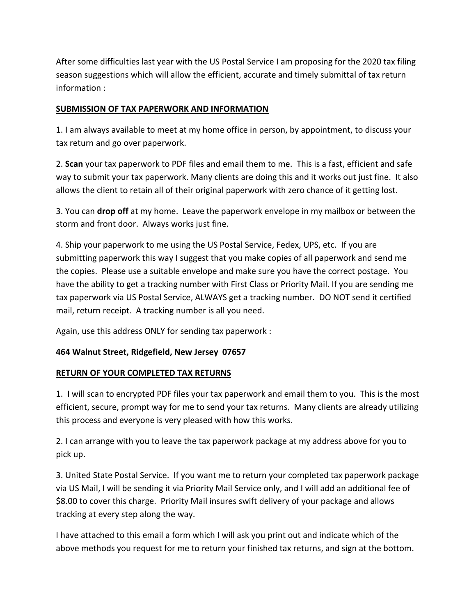After some difficulties last year with the US Postal Service I am proposing for the 2020 tax filing season suggestions which will allow the efficient, accurate and timely submittal of tax return information :

## **SUBMISSION OF TAX PAPERWORK AND INFORMATION**

1. I am always available to meet at my home office in person, by appointment, to discuss your tax return and go over paperwork.

2. **Scan** your tax paperwork to PDF files and email them to me. This is a fast, efficient and safe way to submit your tax paperwork. Many clients are doing this and it works out just fine. It also allows the client to retain all of their original paperwork with zero chance of it getting lost.

3. You can **drop off** at my home. Leave the paperwork envelope in my mailbox or between the storm and front door. Always works just fine.

4. Ship your paperwork to me using the US Postal Service, Fedex, UPS, etc. If you are submitting paperwork this way I suggest that you make copies of all paperwork and send me the copies. Please use a suitable envelope and make sure you have the correct postage. You have the ability to get a tracking number with First Class or Priority Mail. If you are sending me tax paperwork via US Postal Service, ALWAYS get a tracking number. DO NOT send it certified mail, return receipt. A tracking number is all you need.

Again, use this address ONLY for sending tax paperwork :

## **464 Walnut Street, Ridgefield, New Jersey 07657**

## **RETURN OF YOUR COMPLETED TAX RETURNS**

1. I will scan to encrypted PDF files your tax paperwork and email them to you. This is the most efficient, secure, prompt way for me to send your tax returns. Many clients are already utilizing this process and everyone is very pleased with how this works.

2. I can arrange with you to leave the tax paperwork package at my address above for you to pick up.

3. United State Postal Service. If you want me to return your completed tax paperwork package via US Mail, I will be sending it via Priority Mail Service only, and I will add an additional fee of \$8.00 to cover this charge. Priority Mail insures swift delivery of your package and allows tracking at every step along the way.

I have attached to this email a form which I will ask you print out and indicate which of the above methods you request for me to return your finished tax returns, and sign at the bottom.